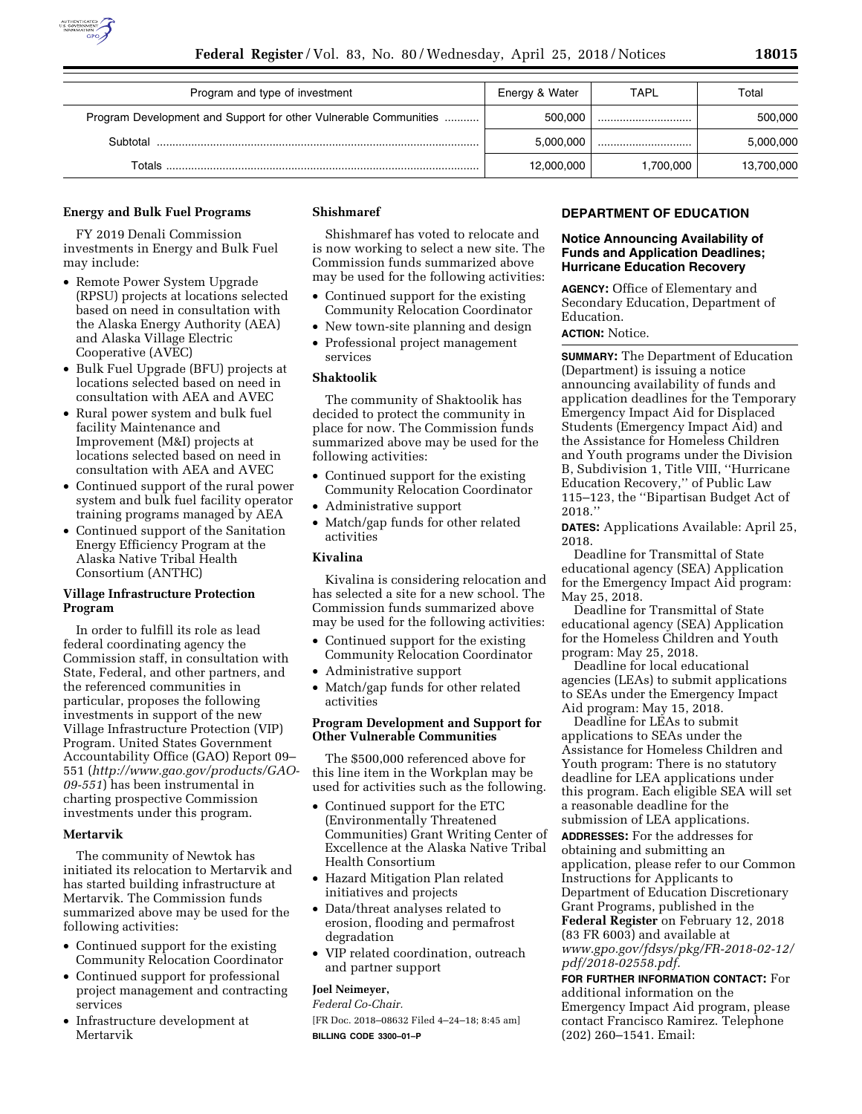

| Program and type of investment                                   | Energy & Water | <b>TAPL</b> | Total      |
|------------------------------------------------------------------|----------------|-------------|------------|
| Program Development and Support for other Vulnerable Communities | 500.000        |             | 500,000    |
| Subtotal                                                         | 5.000.000      |             | 5,000,000  |
| Totals                                                           | 12,000,000     | 1,700,000   | 13,700,000 |

#### **Energy and Bulk Fuel Programs**

FY 2019 Denali Commission investments in Energy and Bulk Fuel may include:

- Remote Power System Upgrade (RPSU) projects at locations selected based on need in consultation with the Alaska Energy Authority (AEA) and Alaska Village Electric Cooperative (AVEC)
- Bulk Fuel Upgrade (BFU) projects at locations selected based on need in consultation with AEA and AVEC
- Rural power system and bulk fuel facility Maintenance and Improvement (M&I) projects at locations selected based on need in consultation with AEA and AVEC
- Continued support of the rural power system and bulk fuel facility operator training programs managed by AEA
- Continued support of the Sanitation Energy Efficiency Program at the Alaska Native Tribal Health Consortium (ANTHC)

# **Village Infrastructure Protection Program**

In order to fulfill its role as lead federal coordinating agency the Commission staff, in consultation with State, Federal, and other partners, and the referenced communities in particular, proposes the following investments in support of the new Village Infrastructure Protection (VIP) Program. United States Government Accountability Office (GAO) Report 09– 551 (*[http://www.gao.gov/products/GAO-](http://www.gao.gov/products/GAO-09-551)[09-551](http://www.gao.gov/products/GAO-09-551)*) has been instrumental in charting prospective Commission investments under this program.

## **Mertarvik**

The community of Newtok has initiated its relocation to Mertarvik and has started building infrastructure at Mertarvik. The Commission funds summarized above may be used for the following activities:

- Continued support for the existing Community Relocation Coordinator
- Continued support for professional project management and contracting services
- Infrastructure development at Mertarvik

## **Shishmaref**

Shishmaref has voted to relocate and is now working to select a new site. The Commission funds summarized above may be used for the following activities:

- Continued support for the existing Community Relocation Coordinator
- New town-site planning and design
- Professional project management services

## **Shaktoolik**

The community of Shaktoolik has decided to protect the community in place for now. The Commission funds summarized above may be used for the following activities:

- Continued support for the existing Community Relocation Coordinator
- Administrative support
- Match/gap funds for other related activities

# **Kivalina**

Kivalina is considering relocation and has selected a site for a new school. The Commission funds summarized above may be used for the following activities:

- Continued support for the existing Community Relocation Coordinator
- Administrative support
- Match/gap funds for other related activities

## **Program Development and Support for Other Vulnerable Communities**

The \$500,000 referenced above for this line item in the Workplan may be used for activities such as the following.

- Continued support for the ETC (Environmentally Threatened Communities) Grant Writing Center of Excellence at the Alaska Native Tribal Health Consortium
- Hazard Mitigation Plan related initiatives and projects
- Data/threat analyses related to erosion, flooding and permafrost degradation
- VIP related coordination, outreach and partner support

## **Joel Neimeyer,**

*Federal Co-Chair.* 

[FR Doc. 2018–08632 Filed 4–24–18; 8:45 am] **BILLING CODE 3300–01–P** 

## **DEPARTMENT OF EDUCATION**

## **Notice Announcing Availability of Funds and Application Deadlines; Hurricane Education Recovery**

**AGENCY:** Office of Elementary and Secondary Education, Department of Education.

# **ACTION:** Notice.

**SUMMARY:** The Department of Education (Department) is issuing a notice announcing availability of funds and application deadlines for the Temporary Emergency Impact Aid for Displaced Students (Emergency Impact Aid) and the Assistance for Homeless Children and Youth programs under the Division B, Subdivision 1, Title VIII, ''Hurricane Education Recovery,'' of Public Law 115–123, the ''Bipartisan Budget Act of 2018.''

**DATES:** Applications Available: April 25, 2018.

Deadline for Transmittal of State educational agency (SEA) Application for the Emergency Impact Aid program: May 25, 2018.

Deadline for Transmittal of State educational agency (SEA) Application for the Homeless Children and Youth program: May 25, 2018.

Deadline for local educational agencies (LEAs) to submit applications to SEAs under the Emergency Impact Aid program: May 15, 2018.

Deadline for LEAs to submit applications to SEAs under the Assistance for Homeless Children and Youth program: There is no statutory deadline for LEA applications under this program. Each eligible SEA will set a reasonable deadline for the submission of LEA applications.

**ADDRESSES:** For the addresses for obtaining and submitting an application, please refer to our Common Instructions for Applicants to Department of Education Discretionary Grant Programs, published in the **Federal Register** on February 12, 2018 (83 FR 6003) and available at *[www.gpo.gov/fdsys/pkg/FR-2018-02-12/](http://www.gpo.gov/fdsys/pkg/FR-2018-02-12/pdf/2018-02558.pdf) [pdf/2018-02558.pdf.](http://www.gpo.gov/fdsys/pkg/FR-2018-02-12/pdf/2018-02558.pdf)* 

**FOR FURTHER INFORMATION CONTACT:** For additional information on the Emergency Impact Aid program, please contact Francisco Ramirez. Telephone (202) 260–1541. Email: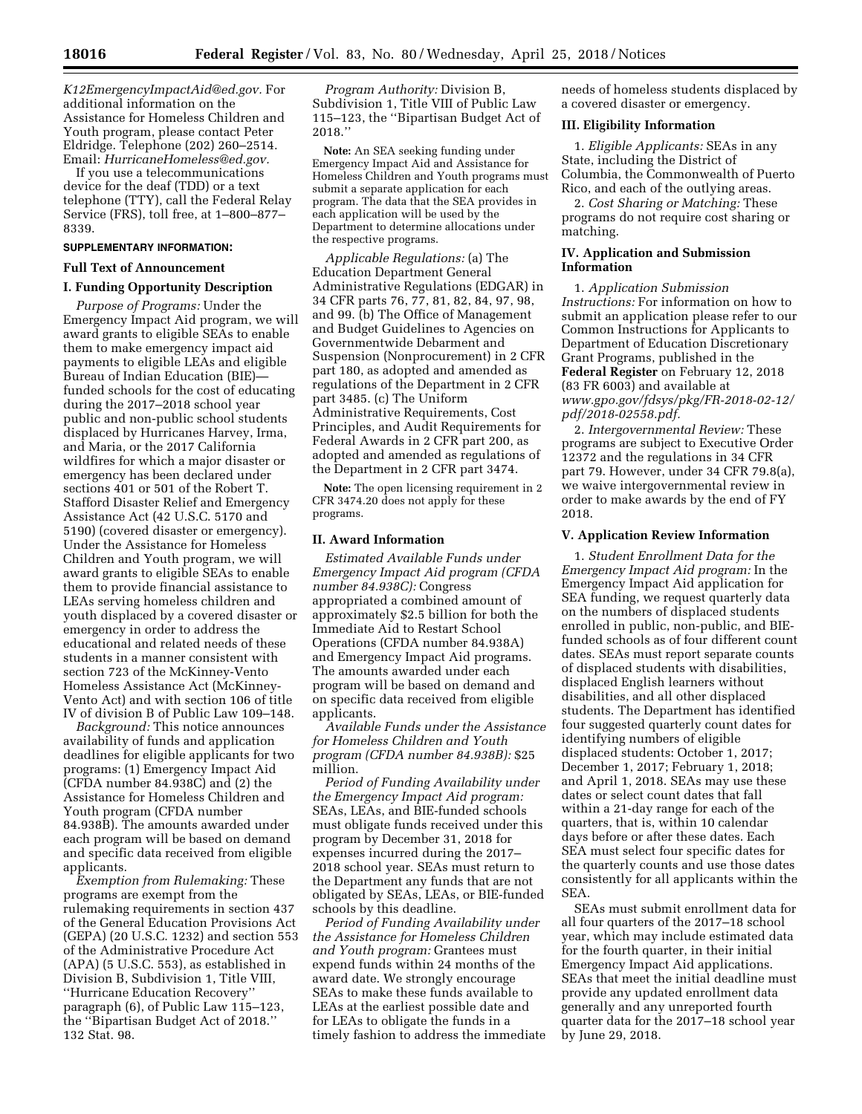*[K12EmergencyImpactAid@ed.gov.](mailto:K12EmergencyImpactAid@ed.gov)* For additional information on the Assistance for Homeless Children and Youth program, please contact Peter Eldridge. Telephone (202) 260–2514. Email: *[HurricaneHomeless@ed.gov.](mailto:HurricaneHomeless@ed.gov)* 

If you use a telecommunications device for the deaf (TDD) or a text telephone (TTY), call the Federal Relay Service (FRS), toll free, at 1–800–877– 8339.

#### **SUPPLEMENTARY INFORMATION:**

#### **Full Text of Announcement**

#### **I. Funding Opportunity Description**

*Purpose of Programs:* Under the Emergency Impact Aid program, we will award grants to eligible SEAs to enable them to make emergency impact aid payments to eligible LEAs and eligible Bureau of Indian Education (BIE) funded schools for the cost of educating during the 2017–2018 school year public and non-public school students displaced by Hurricanes Harvey, Irma, and Maria, or the 2017 California wildfires for which a major disaster or emergency has been declared under sections 401 or 501 of the Robert T. Stafford Disaster Relief and Emergency Assistance Act (42 U.S.C. 5170 and 5190) (covered disaster or emergency). Under the Assistance for Homeless Children and Youth program, we will award grants to eligible SEAs to enable them to provide financial assistance to LEAs serving homeless children and youth displaced by a covered disaster or emergency in order to address the educational and related needs of these students in a manner consistent with section 723 of the McKinney-Vento Homeless Assistance Act (McKinney-Vento Act) and with section 106 of title IV of division B of Public Law 109–148.

*Background:* This notice announces availability of funds and application deadlines for eligible applicants for two programs: (1) Emergency Impact Aid (CFDA number 84.938C) and (2) the Assistance for Homeless Children and Youth program (CFDA number 84.938B). The amounts awarded under each program will be based on demand and specific data received from eligible applicants.

*Exemption from Rulemaking:* These programs are exempt from the rulemaking requirements in section 437 of the General Education Provisions Act (GEPA) (20 U.S.C. 1232) and section 553 of the Administrative Procedure Act (APA) (5 U.S.C. 553), as established in Division B, Subdivision 1, Title VIII, ''Hurricane Education Recovery'' paragraph (6), of Public Law 115–123, the ''Bipartisan Budget Act of 2018.'' 132 Stat. 98.

*Program Authority:* Division B, Subdivision 1, Title VIII of Public Law 115–123, the ''Bipartisan Budget Act of 2018.''

**Note:** An SEA seeking funding under Emergency Impact Aid and Assistance for Homeless Children and Youth programs must submit a separate application for each program. The data that the SEA provides in each application will be used by the Department to determine allocations under the respective programs.

*Applicable Regulations:* (a) The Education Department General Administrative Regulations (EDGAR) in 34 CFR parts 76, 77, 81, 82, 84, 97, 98, and 99. (b) The Office of Management and Budget Guidelines to Agencies on Governmentwide Debarment and Suspension (Nonprocurement) in 2 CFR part 180, as adopted and amended as regulations of the Department in 2 CFR part 3485. (c) The Uniform Administrative Requirements, Cost Principles, and Audit Requirements for Federal Awards in 2 CFR part 200, as adopted and amended as regulations of the Department in 2 CFR part 3474.

**Note:** The open licensing requirement in 2 CFR 3474.20 does not apply for these programs.

## **II. Award Information**

*Estimated Available Funds under Emergency Impact Aid program (CFDA number 84.938C):* Congress appropriated a combined amount of approximately \$2.5 billion for both the Immediate Aid to Restart School Operations (CFDA number 84.938A) and Emergency Impact Aid programs. The amounts awarded under each program will be based on demand and on specific data received from eligible applicants.

*Available Funds under the Assistance for Homeless Children and Youth program (CFDA number 84.938B):* \$25 million.

*Period of Funding Availability under the Emergency Impact Aid program:*  SEAs, LEAs, and BIE-funded schools must obligate funds received under this program by December 31, 2018 for expenses incurred during the 2017– 2018 school year. SEAs must return to the Department any funds that are not obligated by SEAs, LEAs, or BIE-funded schools by this deadline.

*Period of Funding Availability under the Assistance for Homeless Children and Youth program:* Grantees must expend funds within 24 months of the award date. We strongly encourage SEAs to make these funds available to LEAs at the earliest possible date and for LEAs to obligate the funds in a timely fashion to address the immediate

needs of homeless students displaced by a covered disaster or emergency.

#### **III. Eligibility Information**

1. *Eligible Applicants:* SEAs in any State, including the District of Columbia, the Commonwealth of Puerto Rico, and each of the outlying areas.

2. *Cost Sharing or Matching:* These programs do not require cost sharing or matching.

## **IV. Application and Submission Information**

1. *Application Submission Instructions:* For information on how to submit an application please refer to our Common Instructions for Applicants to Department of Education Discretionary Grant Programs, published in the **Federal Register** on February 12, 2018 (83 FR 6003) and available at *[www.gpo.gov/fdsys/pkg/FR-2018-02-12/](http://www.gpo.gov/fdsys/pkg/FR-2018-02-12/pdf/2018-02558.pdf) [pdf/2018-02558.pdf.](http://www.gpo.gov/fdsys/pkg/FR-2018-02-12/pdf/2018-02558.pdf)* 

2. *Intergovernmental Review:* These programs are subject to Executive Order 12372 and the regulations in 34 CFR part 79. However, under 34 CFR 79.8(a), we waive intergovernmental review in order to make awards by the end of FY 2018.

#### **V. Application Review Information**

1. *Student Enrollment Data for the Emergency Impact Aid program:* In the Emergency Impact Aid application for SEA funding, we request quarterly data on the numbers of displaced students enrolled in public, non-public, and BIEfunded schools as of four different count dates. SEAs must report separate counts of displaced students with disabilities, displaced English learners without disabilities, and all other displaced students. The Department has identified four suggested quarterly count dates for identifying numbers of eligible displaced students: October 1, 2017; December 1, 2017; February 1, 2018; and April 1, 2018. SEAs may use these dates or select count dates that fall within a 21-day range for each of the quarters, that is, within 10 calendar days before or after these dates. Each SEA must select four specific dates for the quarterly counts and use those dates consistently for all applicants within the SEA.

SEAs must submit enrollment data for all four quarters of the 2017–18 school year, which may include estimated data for the fourth quarter, in their initial Emergency Impact Aid applications. SEAs that meet the initial deadline must provide any updated enrollment data generally and any unreported fourth quarter data for the 2017–18 school year by June 29, 2018.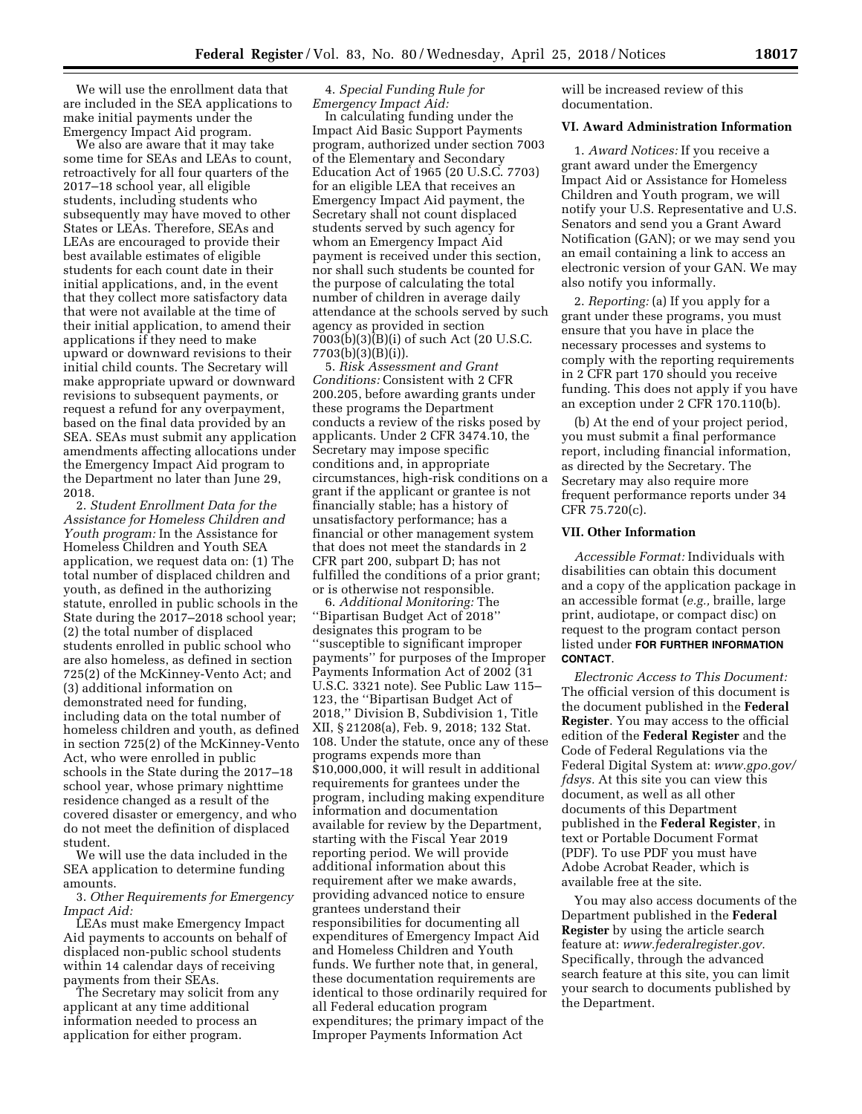We will use the enrollment data that are included in the SEA applications to make initial payments under the Emergency Impact Aid program.

We also are aware that it may take some time for SEAs and LEAs to count, retroactively for all four quarters of the 2017–18 school year, all eligible students, including students who subsequently may have moved to other States or LEAs. Therefore, SEAs and LEAs are encouraged to provide their best available estimates of eligible students for each count date in their initial applications, and, in the event that they collect more satisfactory data that were not available at the time of their initial application, to amend their applications if they need to make upward or downward revisions to their initial child counts. The Secretary will make appropriate upward or downward revisions to subsequent payments, or request a refund for any overpayment, based on the final data provided by an SEA. SEAs must submit any application amendments affecting allocations under the Emergency Impact Aid program to the Department no later than June 29, 2018.

2. *Student Enrollment Data for the Assistance for Homeless Children and Youth program:* In the Assistance for Homeless Children and Youth SEA application, we request data on: (1) The total number of displaced children and youth, as defined in the authorizing statute, enrolled in public schools in the State during the 2017–2018 school year; (2) the total number of displaced students enrolled in public school who are also homeless, as defined in section 725(2) of the McKinney-Vento Act; and (3) additional information on demonstrated need for funding, including data on the total number of homeless children and youth, as defined in section 725(2) of the McKinney-Vento Act, who were enrolled in public schools in the State during the 2017–18 school year, whose primary nighttime residence changed as a result of the covered disaster or emergency, and who do not meet the definition of displaced student.

We will use the data included in the SEA application to determine funding amounts.

3. *Other Requirements for Emergency Impact Aid:* 

LEAs must make Emergency Impact Aid payments to accounts on behalf of displaced non-public school students within 14 calendar days of receiving payments from their SEAs.

The Secretary may solicit from any applicant at any time additional information needed to process an application for either program.

4. *Special Funding Rule for Emergency Impact Aid:* 

In calculating funding under the Impact Aid Basic Support Payments program, authorized under section 7003 of the Elementary and Secondary Education Act of 1965 (20 U.S.C. 7703) for an eligible LEA that receives an Emergency Impact Aid payment, the Secretary shall not count displaced students served by such agency for whom an Emergency Impact Aid payment is received under this section, nor shall such students be counted for the purpose of calculating the total number of children in average daily attendance at the schools served by such agency as provided in section 7003(b)(3)(B)(i) of such Act (20 U.S.C. 7703(b)(3)(B)(i)).

5. *Risk Assessment and Grant Conditions:* Consistent with 2 CFR 200.205, before awarding grants under these programs the Department conducts a review of the risks posed by applicants. Under 2 CFR 3474.10, the Secretary may impose specific conditions and, in appropriate circumstances, high-risk conditions on a grant if the applicant or grantee is not financially stable; has a history of unsatisfactory performance; has a financial or other management system that does not meet the standards in 2 CFR part 200, subpart D; has not fulfilled the conditions of a prior grant; or is otherwise not responsible.

6. *Additional Monitoring:* The ''Bipartisan Budget Act of 2018'' designates this program to be ''susceptible to significant improper payments'' for purposes of the Improper Payments Information Act of 2002 (31 U.S.C. 3321 note). See Public Law 115– 123, the ''Bipartisan Budget Act of 2018,'' Division B, Subdivision 1, Title XII, § 21208(a), Feb. 9, 2018; 132 Stat. 108. Under the statute, once any of these programs expends more than \$10,000,000, it will result in additional requirements for grantees under the program, including making expenditure information and documentation available for review by the Department, starting with the Fiscal Year 2019 reporting period. We will provide additional information about this requirement after we make awards, providing advanced notice to ensure grantees understand their responsibilities for documenting all expenditures of Emergency Impact Aid and Homeless Children and Youth funds. We further note that, in general, these documentation requirements are identical to those ordinarily required for all Federal education program expenditures; the primary impact of the Improper Payments Information Act

will be increased review of this documentation.

# **VI. Award Administration Information**

1. *Award Notices:* If you receive a grant award under the Emergency Impact Aid or Assistance for Homeless Children and Youth program, we will notify your U.S. Representative and U.S. Senators and send you a Grant Award Notification (GAN); or we may send you an email containing a link to access an electronic version of your GAN. We may also notify you informally.

2. *Reporting:* (a) If you apply for a grant under these programs, you must ensure that you have in place the necessary processes and systems to comply with the reporting requirements in 2 CFR part 170 should you receive funding. This does not apply if you have an exception under 2 CFR 170.110(b).

(b) At the end of your project period, you must submit a final performance report, including financial information, as directed by the Secretary. The Secretary may also require more frequent performance reports under 34 CFR 75.720(c).

## **VII. Other Information**

*Accessible Format:* Individuals with disabilities can obtain this document and a copy of the application package in an accessible format (*e.g.,* braille, large print, audiotape, or compact disc) on request to the program contact person listed under **FOR FURTHER INFORMATION CONTACT**.

*Electronic Access to This Document:*  The official version of this document is the document published in the **Federal Register**. You may access to the official edition of the **Federal Register** and the Code of Federal Regulations via the Federal Digital System at: *[www.gpo.gov/](http://www.gpo.gov/fdsys)  [fdsys.](http://www.gpo.gov/fdsys)* At this site you can view this document, as well as all other documents of this Department published in the **Federal Register**, in text or Portable Document Format (PDF). To use PDF you must have Adobe Acrobat Reader, which is available free at the site.

You may also access documents of the Department published in the **Federal Register** by using the article search feature at: *[www.federalregister.gov.](http://www.federalregister.gov)*  Specifically, through the advanced search feature at this site, you can limit your search to documents published by the Department.